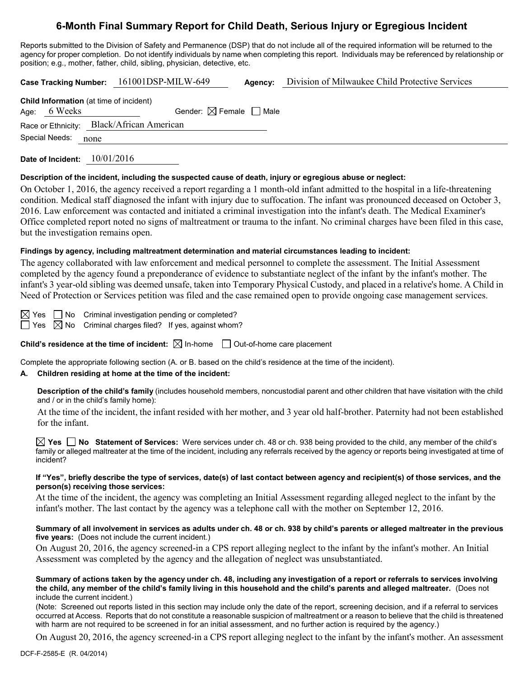# **6-Month Final Summary Report for Child Death, Serious Injury or Egregious Incident**

Reports submitted to the Division of Safety and Permanence (DSP) that do not include all of the required information will be returned to the agency for proper completion. Do not identify individuals by name when completing this report. Individuals may be referenced by relationship or position; e.g., mother, father, child, sibling, physician, detective, etc.

**Case Tracking Number:** 161001DSP-MILW-649 **Agency:** Division of Milwaukee Child Protective Services

| <b>Child Information</b> (at time of incident) |              |                                           |  |  |  |
|------------------------------------------------|--------------|-------------------------------------------|--|--|--|
|                                                | Age: 6 Weeks | Gender: $\boxtimes$ Female $\Box$ Male    |  |  |  |
|                                                |              | Race or Ethnicity: Black/African American |  |  |  |
| Special Needs:                                 |              | none                                      |  |  |  |
|                                                |              |                                           |  |  |  |

**Date of Incident:** 10/01/2016

### **Description of the incident, including the suspected cause of death, injury or egregious abuse or neglect:**

On October 1, 2016, the agency received a report regarding a 1 month-old infant admitted to the hospital in a life-threatening condition. Medical staff diagnosed the infant with injury due to suffocation. The infant was pronounced deceased on October 3, 2016. Law enforcement was contacted and initiated a criminal investigation into the infant's death. The Medical Examiner's Office completed report noted no signs of maltreatment or trauma to the infant. No criminal charges have been filed in this case, but the investigation remains open.

### **Findings by agency, including maltreatment determination and material circumstances leading to incident:**

The agency collaborated with law enforcement and medical personnel to complete the assessment. The Initial Assessment completed by the agency found a preponderance of evidence to substantiate neglect of the infant by the infant's mother. The infant's 3 year-old sibling was deemed unsafe, taken into Temporary Physical Custody, and placed in a relative's home. A Child in Need of Protection or Services petition was filed and the case remained open to provide ongoing case management services.

 $\boxtimes$  Yes  $\Box$  No Criminal investigation pending or completed?

 $\Box$  Yes  $\Box$  No Criminal charges filed? If yes, against whom?

**Child's residence at the time of incident:**  $\boxtimes$  In-home  $\Box$  Out-of-home care placement

Complete the appropriate following section (A. or B. based on the child's residence at the time of the incident).

### **A. Children residing at home at the time of the incident:**

**Description of the child's family** (includes household members, noncustodial parent and other children that have visitation with the child and / or in the child's family home):

At the time of the incident, the infant resided with her mother, and 3 year old half-brother. Paternity had not been established for the infant.

**Yes No Statement of Services:** Were services under ch. 48 or ch. 938 being provided to the child, any member of the child's family or alleged maltreater at the time of the incident, including any referrals received by the agency or reports being investigated at time of incident?

#### **If "Yes", briefly describe the type of services, date(s) of last contact between agency and recipient(s) of those services, and the person(s) receiving those services:**

At the time of the incident, the agency was completing an Initial Assessment regarding alleged neglect to the infant by the infant's mother. The last contact by the agency was a telephone call with the mother on September 12, 2016.

## **Summary of all involvement in services as adults under ch. 48 or ch. 938 by child's parents or alleged maltreater in the previous five years:** (Does not include the current incident.)

On August 20, 2016, the agency screened-in a CPS report alleging neglect to the infant by the infant's mother. An Initial Assessment was completed by the agency and the allegation of neglect was unsubstantiated.

**Summary of actions taken by the agency under ch. 48, including any investigation of a report or referrals to services involving the child, any member of the child's family living in this household and the child's parents and alleged maltreater.** (Does not include the current incident.)

(Note: Screened out reports listed in this section may include only the date of the report, screening decision, and if a referral to services occurred at Access. Reports that do not constitute a reasonable suspicion of maltreatment or a reason to believe that the child is threatened with harm are not required to be screened in for an initial assessment, and no further action is required by the agency.)

On August 20, 2016, the agency screened-in a CPS report alleging neglect to the infant by the infant's mother. An assessment